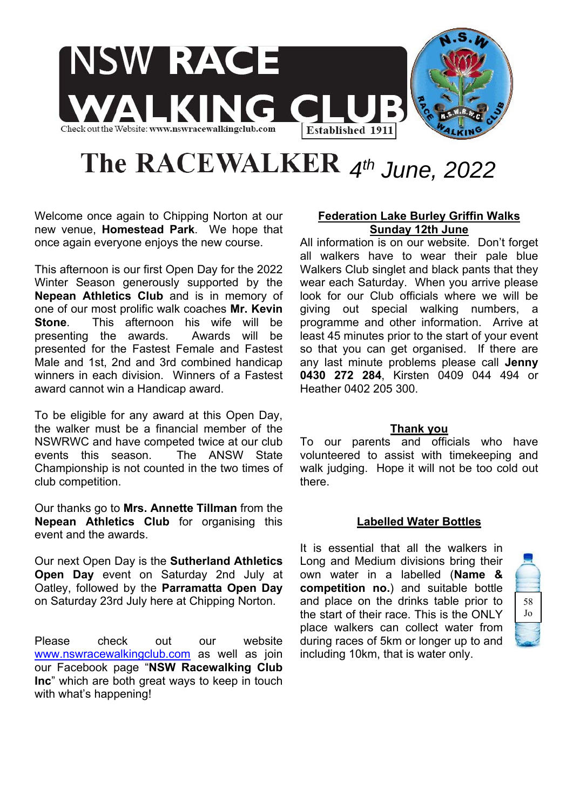

# The RACEWALKER  $4<sup>th</sup>$  June, 2022

Welcome once again to Chipping Norton at our new venue, **Homestead Park**. We hope that once again everyone enjoys the new course.

This afternoon is our first Open Day for the 2022 Winter Season generously supported by the **Nepean Athletics Club** and is in memory of one of our most prolific walk coaches **Mr. Kevin Stone**. This afternoon his wife will be presenting the awards. Awards will be presented for the Fastest Female and Fastest Male and 1st, 2nd and 3rd combined handicap winners in each division. Winners of a Fastest award cannot win a Handicap award.

To be eligible for any award at this Open Day, the walker must be a financial member of the NSWRWC and have competed twice at our club events this season. The ANSW State Championship is not counted in the two times of club competition.

Our thanks go to **Mrs. Annette Tillman** from the **Nepean Athletics Club** for organising this event and the awards.

Our next Open Day is the **Sutherland Athletics Open Day** event on Saturday 2nd July at Oatley, followed by the **Parramatta Open Day** on Saturday 23rd July here at Chipping Norton.

Please check out our website www.nswracewalkingclub.com as well as join our Facebook page "**NSW Racewalking Club Inc**" which are both great ways to keep in touch with what's happening!

### **Federation Lake Burley Griffin Walks Sunday 12th June**

All information is on our website. Don't forget all walkers have to wear their pale blue Walkers Club singlet and black pants that they wear each Saturday. When you arrive please look for our Club officials where we will be giving out special walking numbers, a programme and other information. Arrive at least 45 minutes prior to the start of your event so that you can get organised. If there are any last minute problems please call **Jenny 0430 272 284**, Kirsten 0409 044 494 or Heather 0402 205 300.

#### **Thank you**

To our parents and officials who have volunteered to assist with timekeeping and walk judging. Hope it will not be too cold out there.

#### **Labelled Water Bottles**

It is essential that all the walkers in Long and Medium divisions bring their own water in a labelled (**Name & competition no.**) and suitable bottle and place on the drinks table prior to the start of their race. This is the ONLY place walkers can collect water from during races of 5km or longer up to and including 10km, that is water only.